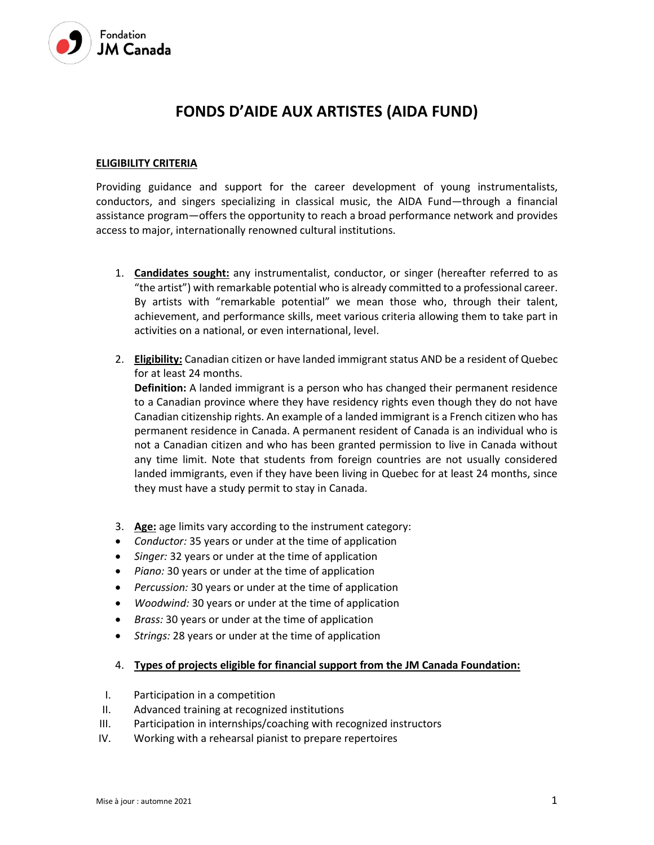

## **FONDS D'AIDE AUX ARTISTES (AIDA FUND)**

## **ELIGIBILITY CRITERIA**

Providing guidance and support for the career development of young instrumentalists, conductors, and singers specializing in classical music, the AIDA Fund—through a financial assistance program—offers the opportunity to reach a broad performance network and provides access to major, internationally renowned cultural institutions.

- 1. **Candidates sought:** any instrumentalist, conductor, or singer (hereafter referred to as "the artist") with remarkable potential who is already committed to a professional career. By artists with "remarkable potential" we mean those who, through their talent, achievement, and performance skills, meet various criteria allowing them to take part in activities on a national, or even international, level.
- 2. **Eligibility:** Canadian citizen or have landed immigrant status AND be a resident of Quebec for at least 24 months.

**Definition:** A landed immigrant is a person who has changed their permanent residence to a Canadian province where they have residency rights even though they do not have Canadian citizenship rights. An example of a landed immigrant is a French citizen who has permanent residence in Canada. A permanent resident of Canada is an individual who is not a Canadian citizen and who has been granted permission to live in Canada without any time limit. Note that students from foreign countries are not usually considered landed immigrants, even if they have been living in Quebec for at least 24 months, since they must have a study permit to stay in Canada.

- 3. **Age:** age limits vary according to the instrument category:
- *Conductor:* 35 years or under at the time of application
- *Singer:* 32 years or under at the time of application
- *Piano:* 30 years or under at the time of application
- *Percussion:* 30 years or under at the time of application
- *Woodwind:* 30 years or under at the time of application
- *Brass:* 30 years or under at the time of application
- *Strings:* 28 years or under at the time of application
- 4. **Types of projects eligible for financial support from the JM Canada Foundation:**
- I. Participation in a competition
- II. Advanced training at recognized institutions
- III. Participation in internships/coaching with recognized instructors
- IV. Working with a rehearsal pianist to prepare repertoires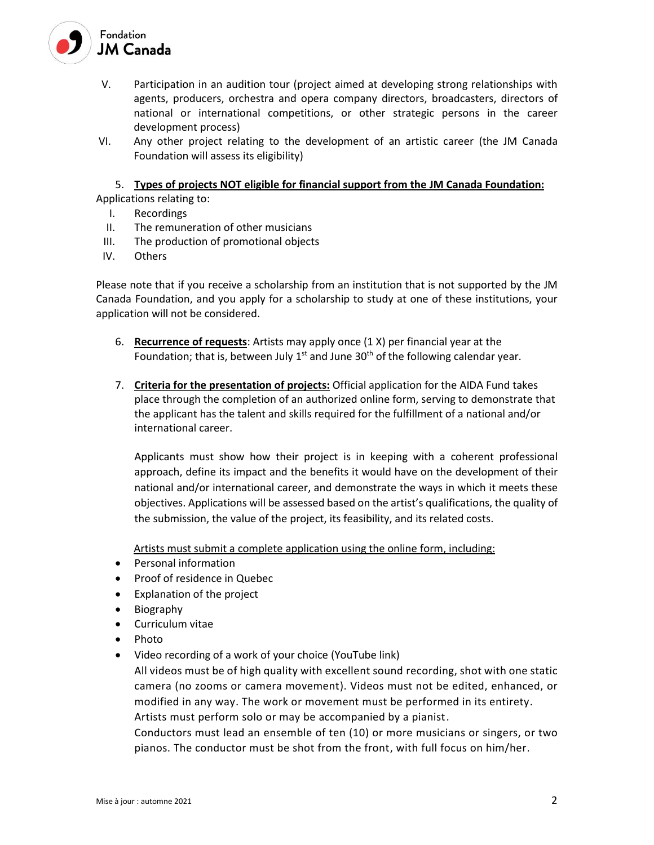

- V. Participation in an audition tour (project aimed at developing strong relationships with agents, producers, orchestra and opera company directors, broadcasters, directors of national or international competitions, or other strategic persons in the career development process)
- VI. Any other project relating to the development of an artistic career (the JM Canada Foundation will assess its eligibility)

## 5. **Types of projects NOT eligible for financial support from the JM Canada Foundation:**

Applications relating to:

- I. Recordings
- II. The remuneration of other musicians
- III. The production of promotional objects
- IV. Others

Please note that if you receive a scholarship from an institution that is not supported by the JM Canada Foundation, and you apply for a scholarship to study at one of these institutions, your application will not be considered.

- 6. **Recurrence of requests**: Artists may apply once (1 X) per financial year at the Foundation; that is, between July  $1<sup>st</sup>$  and June 30<sup>th</sup> of the following calendar year.
- 7. **Criteria for the presentation of projects:** Official application for the AIDA Fund takes place through the completion of an authorized online form, serving to demonstrate that the applicant has the talent and skills required for the fulfillment of a national and/or international career.

Applicants must show how their project is in keeping with a coherent professional approach, define its impact and the benefits it would have on the development of their national and/or international career, and demonstrate the ways in which it meets these objectives. Applications will be assessed based on the artist's qualifications, the quality of the submission, the value of the project, its feasibility, and its related costs.

Artists must submit a complete application using the online form, including:

- Personal information
- Proof of residence in Quebec
- Explanation of the project
- Biography
- Curriculum vitae
- Photo
- Video recording of a work of your choice (YouTube link)

All videos must be of high quality with excellent sound recording, shot with one static camera (no zooms or camera movement). Videos must not be edited, enhanced, or modified in any way. The work or movement must be performed in its entirety. Artists must perform solo or may be accompanied by a pianist.

Conductors must lead an ensemble of ten (10) or more musicians or singers, or two pianos. The conductor must be shot from the front, with full focus on him/her.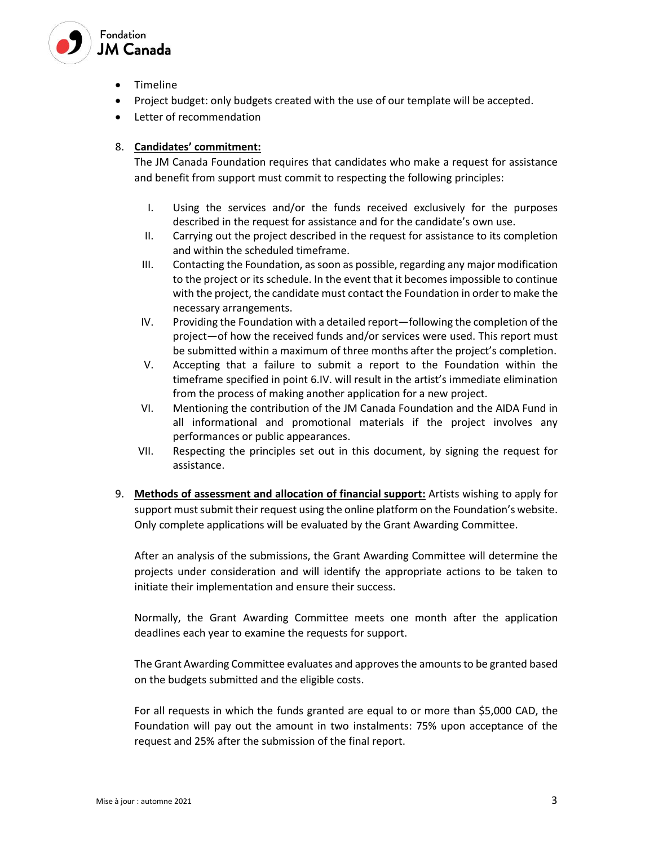

- Timeline
- Project budget: only budgets created with the use of our template will be accepted.
- Letter of recommendation

## 8. **Candidates' commitment:**

The JM Canada Foundation requires that candidates who make a request for assistance and benefit from support must commit to respecting the following principles:

- I. Using the services and/or the funds received exclusively for the purposes described in the request for assistance and for the candidate's own use.
- II. Carrying out the project described in the request for assistance to its completion and within the scheduled timeframe.
- III. Contacting the Foundation, as soon as possible, regarding any major modification to the project or its schedule. In the event that it becomes impossible to continue with the project, the candidate must contact the Foundation in order to make the necessary arrangements.
- IV. Providing the Foundation with a detailed report—following the completion of the project—of how the received funds and/or services were used. This report must be submitted within a maximum of three months after the project's completion.
- V. Accepting that a failure to submit a report to the Foundation within the timeframe specified in point 6.IV. will result in the artist's immediate elimination from the process of making another application for a new project.
- VI. Mentioning the contribution of the JM Canada Foundation and the AIDA Fund in all informational and promotional materials if the project involves any performances or public appearances.
- VII. Respecting the principles set out in this document, by signing the request for assistance.
- 9. **Methods of assessment and allocation of financial support:** Artists wishing to apply for support must submit their request using the online platform on the Foundation's website. Only complete applications will be evaluated by the Grant Awarding Committee.

After an analysis of the submissions, the Grant Awarding Committee will determine the projects under consideration and will identify the appropriate actions to be taken to initiate their implementation and ensure their success.

Normally, the Grant Awarding Committee meets one month after the application deadlines each year to examine the requests for support.

The Grant Awarding Committee evaluates and approves the amounts to be granted based on the budgets submitted and the eligible costs.

For all requests in which the funds granted are equal to or more than \$5,000 CAD, the Foundation will pay out the amount in two instalments: 75% upon acceptance of the request and 25% after the submission of the final report.